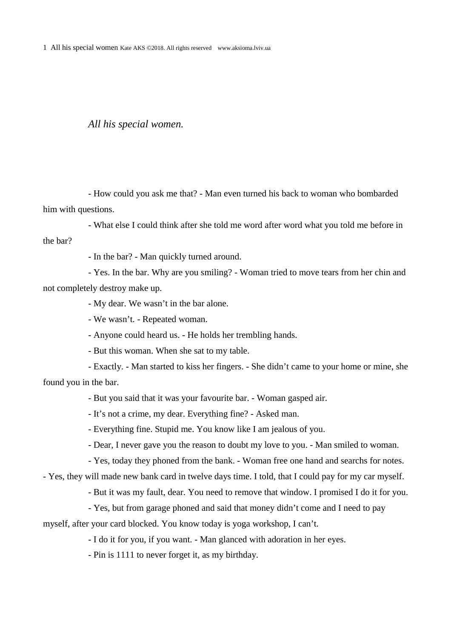1 All his special women Kate AKS ©2018. All rights reserved www.aksioma.lviv.ua

## *All his special women.*

- How could you ask me that? - Man even turned his back to woman who bombarded him with questions.

- What else I could think after she told me word after word what you told me before in the bar?

- In the bar? - Man quickly turned around.

- Yes. In the bar. Why are you smiling? - Woman tried to move tears from her chin and not completely destroy make up.

- My dear. We wasn't in the bar alone.

- We wasn't. - Repeated woman.

- Anyone could heard us. - He holds her trembling hands.

- But this woman. When she sat to my table.

- Exactly. - Man started to kiss her fingers. - She didn't came to your home or mine, she found you in the bar.

- But you said that it was your favourite bar. - Woman gasped air.

- It's not a crime, my dear. Everything fine? - Asked man.

- Everything fine. Stupid me. You know like I am jealous of you.

- Dear, I never gave you the reason to doubt my love to you. - Man smiled to woman.

- Yes, today they phoned from the bank. - Woman free one hand and searchs for notes.

- Yes, they will made new bank card in twelve days time. I told, that I could pay for my car myself.

- But it was my fault, dear. You need to remove that window. I promised I do it for you.

- Yes, but from garage phoned and said that money didn't come and I need to pay

myself, after your card blocked. You know today is yoga workshop, I can't.

- I do it for you, if you want. - Man glanced with adoration in her eyes.

- Pin is 1111 to never forget it, as my birthday.